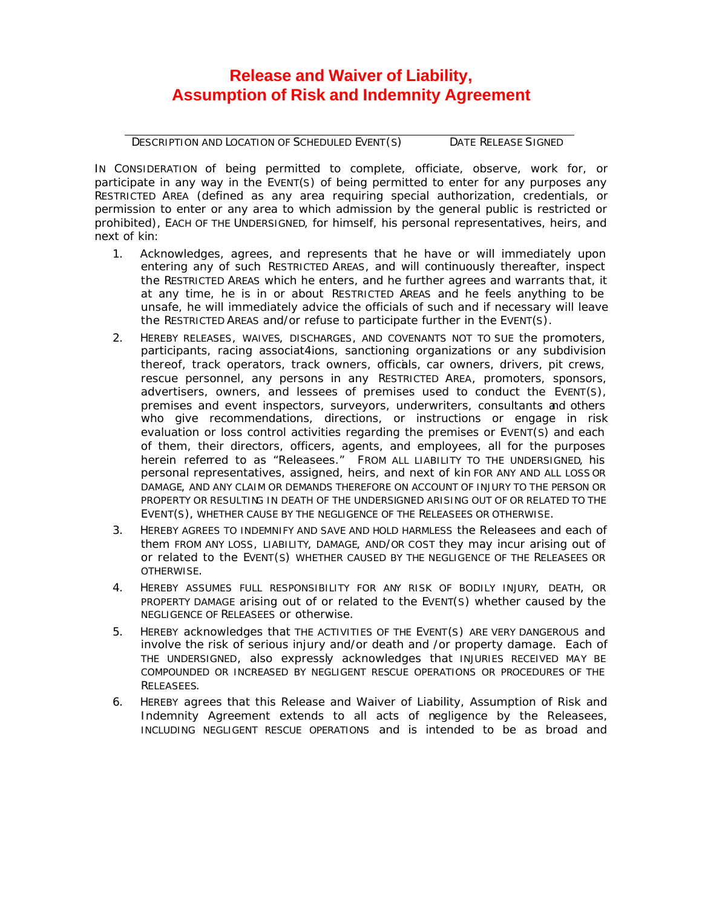## **Release and Waiver of Liability, Assumption of Risk and Indemnity Agreement**

DESCRIPTION AND LOCATION OF SCHEDULED EVENT(S) DATE RELEASE SIGNED

IN CONSIDERATION of being permitted to complete, officiate, observe, work for, or participate in any way in the EVENT(S) of being permitted to enter for any purposes any RESTRICTED AREA (defined as any area requiring special authorization, credentials, or permission to enter or any area to which admission by the general public is restricted or prohibited), EACH OF THE UNDERSIGNED, for himself, his personal representatives, heirs, and next of kin:

- 1. Acknowledges, agrees, and represents that he have or will immediately upon entering any of such RESTRICTED AREAS, and will continuously thereafter, inspect the RESTRICTED AREAS which he enters, and he further agrees and warrants that, it at any time, he is in or about RESTRICTED AREAS and he feels anything to be unsafe, he will immediately advice the officials of such and if necessary will leave the RESTRICTED AREAS and/or refuse to participate further in the EVENT(S).
- 2. HEREBY RELEASES, WAIVES, DISCHARGES, AND COVENANTS NOT TO SUE the promoters, participants, racing associat4ions, sanctioning organizations or any subdivision thereof, track operators, track owners, officials, car owners, drivers, pit crews, rescue personnel, any persons in any RESTRICTED AREA, promoters, sponsors, advertisers, owners, and lessees of premises used to conduct the EVENT(S), premises and event inspectors, surveyors, underwriters, consultants and others who give recommendations, directions, or instructions or engage in risk evaluation or loss control activities regarding the premises or EVENT(S) and each of them, their directors, officers, agents, and employees, all for the purposes herein referred to as "Releasees." FROM ALL LIABILITY TO THE UNDERSIGNED, his personal representatives, assigned, heirs, and next of kin FOR ANY AND ALL LOSS OR DAMAGE, AND ANY CLAIM OR DEMANDS THEREFORE ON ACCOUNT OF INJURY TO THE PERSON OR PROPERTY OR RESULTING IN DEATH OF THE UNDERSIGNED ARISING OUT OF OR RELATED TO THE EVENT(S), WHETHER CAUSE BY THE NEGLIGENCE OF THE RELEASEES OR OTHERWISE.
- 3. HEREBY AGREES TO INDEMNIFY AND SAVE AND HOLD HARMLESS the Releasees and each of them FROM ANY LOSS, LIABILITY, DAMAGE, AND/OR COST they may incur arising out of or related to the EVENT(S) WHETHER CAUSED BY THE NEGLIGENCE OF THE RELEASEES OR OTHERWISE.
- 4. HEREBY ASSUMES FULL RESPONSIBILITY FOR ANY RISK OF BODILY INJURY, DEATH, OR PROPERTY DAMAGE arising out of or related to the EVENT(S) whether caused by the NEGLIGENCE OF RELEASEES or otherwise.
- 5. HEREBY acknowledges that THE ACTIVITIES OF THE EVENT(S) ARE VERY DANGEROUS and involve the risk of serious injury and/or death and /or property damage. Each of THE UNDERSIGNED, also expressly acknowledges that INJURIES RECEIVED MAY BE COMPOUNDED OR INCREASED BY NEGLIGENT RESCUE OPERATIONS OR PROCEDURES OF THE RELEASEES.
- 6. HEREBY agrees that this Release and Waiver of Liability, Assumption of Risk and Indemnity Agreement extends to all acts of negligence by the Releasees, INCLUDING NEGLIGENT RESCUE OPERATIONS and is intended to be as broad and